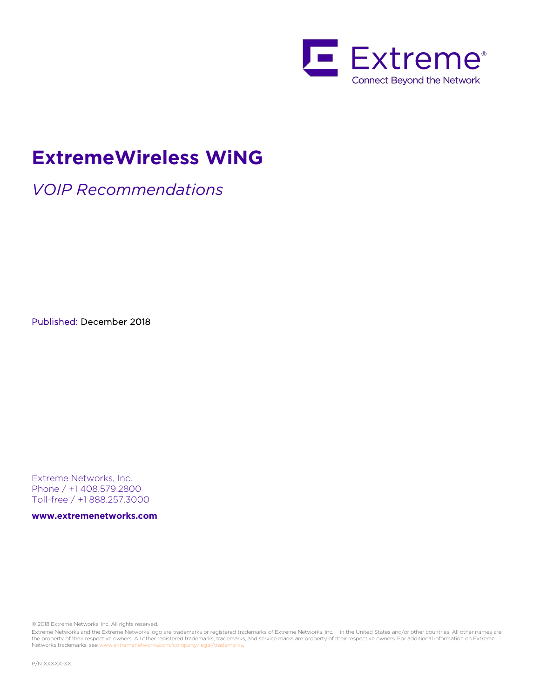

# **ExtremeWireless WiNG**

*VOIP Recommendations*

Published: December 2018

Extreme Networks, Inc. Phone / +1 408.579.2800 Toll-free / +1 888.257.3000

**www.extremenetworks.com**

© 2018 Extreme Networks, Inc. All rights reserved.

Extreme Networks and the Extreme Networks logo are trademarks or registered trademarks of Extreme Networks, Inc. in the United States and/or other countries. All other names are the property of their respective owners. All other registered trademarks, trademarks, and service marks are property of their respective owners. For additional information on Extreme Networks trademarks, see www.extremenetworks.com/company/legal/trademarks.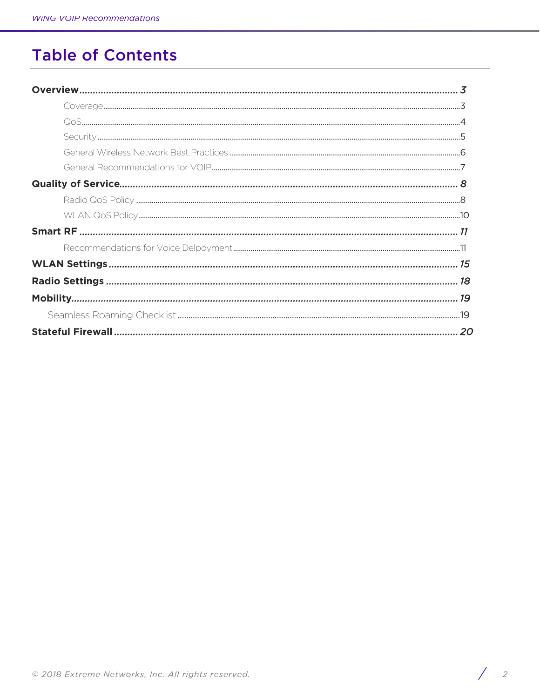# **Table of Contents**

| 15 |
|----|
|    |
| 19 |
|    |
| 20 |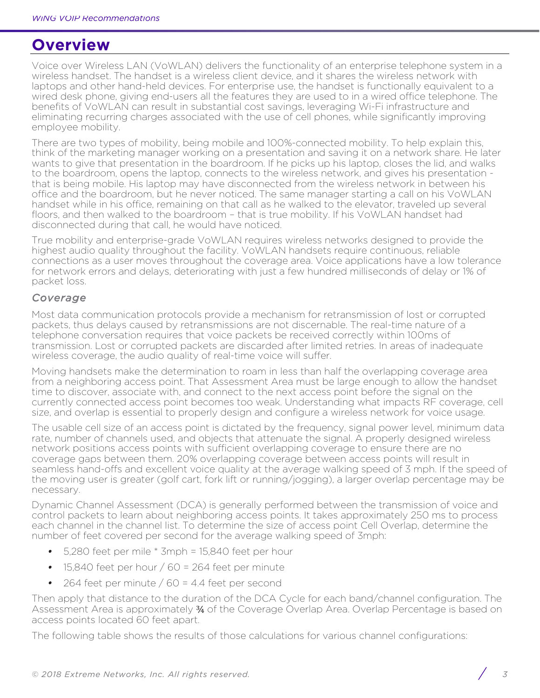# **Overview**

Voice over Wireless LAN (VoWLAN) delivers the functionality of an enterprise telephone system in a wireless handset. The handset is a wireless client device, and it shares the wireless network with laptops and other hand-held devices. For enterprise use, the handset is functionally equivalent to a wired desk phone, giving end-users all the features they are used to in a wired office telephone. The benefits of VoWLAN can result in substantial cost savings, leveraging Wi-Fi infrastructure and eliminating recurring charges associated with the use of cell phones, while significantly improving employee mobility.

There are two types of mobility, being mobile and 100%-connected mobility. To help explain this, think of the marketing manager working on a presentation and saving it on a network share. He later wants to give that presentation in the boardroom. If he picks up his laptop, closes the lid, and walks to the boardroom, opens the laptop, connects to the wireless network, and gives his presentation that is being mobile. His laptop may have disconnected from the wireless network in between his office and the boardroom, but he never noticed. The same manager starting a call on his VoWLAN handset while in his office, remaining on that call as he walked to the elevator, traveled up several floors, and then walked to the boardroom – that is true mobility. If his VoWLAN handset had disconnected during that call, he would have noticed.

True mobility and enterprise-grade VoWLAN requires wireless networks designed to provide the highest audio quality throughout the facility. VoWLAN handsets require continuous, reliable connections as a user moves throughout the coverage area. Voice applications have a low tolerance for network errors and delays, deteriorating with just a few hundred milliseconds of delay or 1% of packet loss.

## *Coverage*

Most data communication protocols provide a mechanism for retransmission of lost or corrupted packets, thus delays caused by retransmissions are not discernable. The real-time nature of a telephone conversation requires that voice packets be received correctly within 100ms of transmission. Lost or corrupted packets are discarded after limited retries. In areas of inadequate wireless coverage, the audio quality of real-time voice will suffer.

Moving handsets make the determination to roam in less than half the overlapping coverage area from a neighboring access point. That Assessment Area must be large enough to allow the handset time to discover, associate with, and connect to the next access point before the signal on the currently connected access point becomes too weak. Understanding what impacts RF coverage, cell size, and overlap is essential to properly design and configure a wireless network for voice usage.

The usable cell size of an access point is dictated by the frequency, signal power level, minimum data rate, number of channels used, and objects that attenuate the signal. A properly designed wireless network positions access points with sufficient overlapping coverage to ensure there are no coverage gaps between them. 20% overlapping coverage between access points will result in seamless hand-offs and excellent voice quality at the average walking speed of 3 mph. If the speed of the moving user is greater (golf cart, fork lift or running/jogging), a larger overlap percentage may be necessary.

Dynamic Channel Assessment (DCA) is generally performed between the transmission of voice and control packets to learn about neighboring access points. It takes approximately 250 ms to process each channel in the channel list. To determine the size of access point Cell Overlap, determine the number of feet covered per second for the average walking speed of 3mph:

- *•* 5,280 feet per mile \* 3mph = 15,840 feet per hour
- *•* 15,840 feet per hour / 60 = 264 feet per minute
- *•* 264 feet per minute / 60 = 4.4 feet per second

Then apply that distance to the duration of the DCA Cycle for each band/channel configuration. The Assessment Area is approximately 34 of the Coverage Overlap Area. Overlap Percentage is based on access points located 60 feet apart.

The following table shows the results of those calculations for various channel configurations: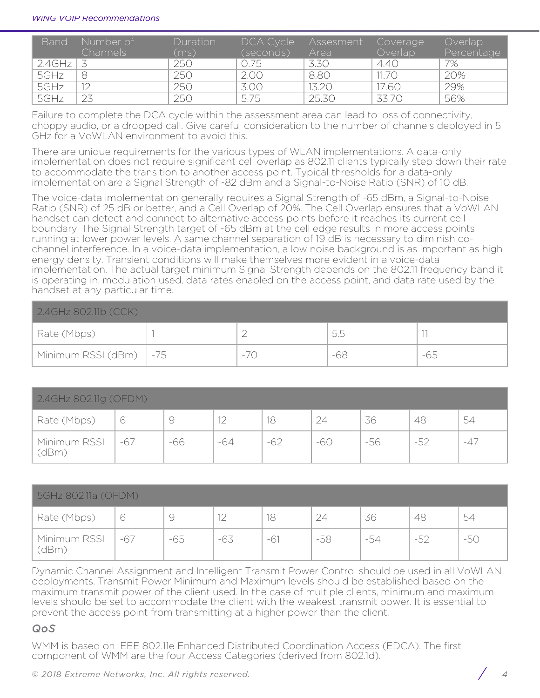| <b>Band</b>         | Number of<br>Channels | Duration<br>(ms) | DCA Cycle<br>(seconds) | Assesment<br>Area | Coverage<br>Overlap | Overlap<br>Percentage |
|---------------------|-----------------------|------------------|------------------------|-------------------|---------------------|-----------------------|
| $2.4$ GHz $\vert$ 3 |                       | 250              | 0.75                   | 3.30              | 4.40                | 7%                    |
| 5GHz                | 8                     | 250              | 2.00                   | 8.80              | 11.70               | 20%                   |
| 5GHz                |                       | 250              | 3.00                   | 13.20             | 7.60                | 29%                   |
| 5GHz                | 23                    | 250              | 5.75                   | 25.30             | 33.70               | 56%                   |

Failure to complete the DCA cycle within the assessment area can lead to loss of connectivity, choppy audio, or a dropped call. Give careful consideration to the number of channels deployed in 5 GHz for a VoWLAN environment to avoid this.

There are unique requirements for the various types of WLAN implementations. A data-only implementation does not require significant cell overlap as 802.11 clients typically step down their rate to accommodate the transition to another access point. Typical thresholds for a data-only implementation are a Signal Strength of -82 dBm and a Signal-to-Noise Ratio (SNR) of 10 dB.

The voice-data implementation generally requires a Signal Strength of -65 dBm, a Signal-to-Noise Ratio (SNR) of 25 dB or better, and a Cell Overlap of 20%. The Cell Overlap ensures that a VoWLAN handset can detect and connect to alternative access points before it reaches its current cell boundary. The Signal Strength target of -65 dBm at the cell edge results in more access points running at lower power levels. A same channel separation of 19 dB is necessary to diminish cochannel interference. In a voice-data implementation, a low noise background is as important as high energy density. Transient conditions will make themselves more evident in a voice-data implementation. The actual target minimum Signal Strength depends on the 802.11 frequency band it is operating in, modulation used, data rates enabled on the access point, and data rate used by the handset at any particular time.

| $2.4$ GHz 802.11b (CCK)  |       |     |       |
|--------------------------|-------|-----|-------|
| Rate (Mbps)              |       | 5.5 |       |
| Minimum RSSI (dBm)   -75 | $-70$ | -68 | $-65$ |

| 2.4GHz 802.11g (OFDM) |       |     |          |       |     |       |       |       |
|-----------------------|-------|-----|----------|-------|-----|-------|-------|-------|
| Rate (Mbps)           |       |     | $1 \cap$ |       | 24  | 36    | 48    | 54    |
| Minimum RSSI<br>dBm)  | $-67$ | -66 | $-64$    | $-62$ | -60 | $-56$ | $-52$ | $-47$ |

| 5GHz 802.11a (OFDM)  |       |       |          |       |     |     |       |     |
|----------------------|-------|-------|----------|-------|-----|-----|-------|-----|
| Rate (Mbps)          | 0     |       | $1 \cap$ | 18    | 24  | 36  | 48    | 54  |
| Minimum RSSI<br>dBm) | $-67$ | $-65$ | $-63$    | $-61$ | -58 | -54 | $-52$ | -50 |

Dynamic Channel Assignment and Intelligent Transmit Power Control should be used in all VoWLAN deployments. Transmit Power Minimum and Maximum levels should be established based on the maximum transmit power of the client used. In the case of multiple clients, minimum and maximum levels should be set to accommodate the client with the weakest transmit power. It is essential to prevent the access point from transmitting at a higher power than the client.

### *QoS*

WMM is based on IEEE 802.11e Enhanced Distributed Coordination Access (EDCA). The first component of WMM are the four Access Categories (derived from 802.1d).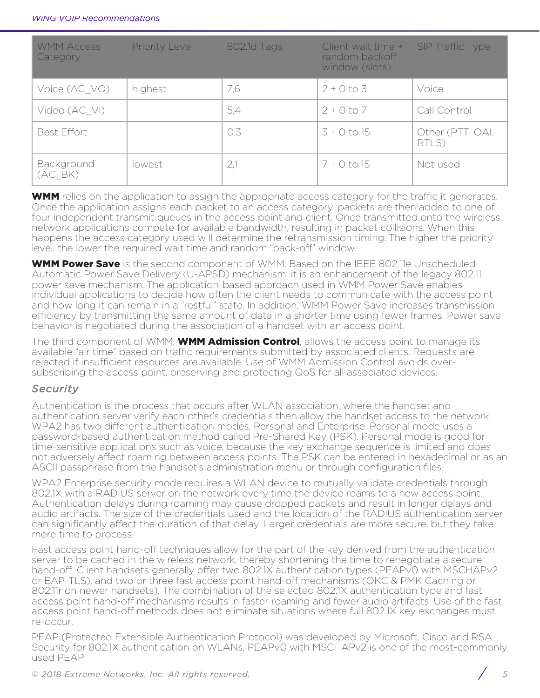| <b>WMM Access</b><br>Category | <b>Priority Level</b> | 802.1d Tags | Client wait time +<br>random backoff<br>window (slots) | <b>SIP Traffic Type</b>   |
|-------------------------------|-----------------------|-------------|--------------------------------------------------------|---------------------------|
| Voice (AC VO)                 | highest               | 7,6         | $2 + 0$ to 3                                           | Voice                     |
| Video (AC VI)                 |                       | 5,4         | $2 + 0 to 7$                                           | Call Control              |
| <b>Best Effort</b>            |                       | O,3         | $3 + 0$ to 15                                          | Other (PTT, OAI,<br>RTLS) |
| Background<br>(AC BK)         | lowest                | 2,1         | $7 + 0$ to 15                                          | Not used                  |

**WMM** relies on the application to assign the appropriate access category for the traffic it generates. Once the application assigns each packet to an access category, packets are then added to one of four independent transmit queues in the access point and client. Once transmitted onto the wireless network applications compete for available bandwidth, resulting in packet collisions. When this happens the access category used will determine the retransmission timing. The higher the priority level, the lower the required wait time and random "back-off" window.

WMM Power Save is the second component of WMM. Based on the IEEE 802.11e Unscheduled Automatic Power Save Delivery (U-APSD) mechanism, it is an enhancement of the legacy 802.11 power save mechanism. The application-based approach used in WMM Power Save enables individual applications to decide how often the client needs to communicate with the access point and how long it can remain in a "restful" state. In addition, WMM Power Save increases transmission efficiency by transmitting the same amount of data in a shorter time using fewer frames. Power save behavior is negotiated during the association of a handset with an access point.

The third component of WMM, **WMM Admission Control**, allows the access point to manage its available "air time" based on traffic requirements submitted by associated clients. Requests are rejected if insufficient resources are available. Use of WMM Admission Control avoids oversubscribing the access point, preserving and protecting QoS for all associated devices.

## *Security*

Authentication is the process that occurs after WLAN association, where the handset and authentication server verify each other's credentials then allow the handset access to the network. WPA2 has two different authentication modes, Personal and Enterprise. Personal mode uses a password-based authentication method called Pre-Shared Key (PSK). Personal mode is good for time-sensitive applications such as voice, because the key exchange sequence is limited and does not adversely affect roaming between access points. The PSK can be entered in hexadecimal or as an ASCII passphrase from the handset's administration menu or through configuration files.

WPA2 Enterprise security mode requires a WLAN device to mutually validate credentials through 802.1X with a RADIUS server on the network every time the device roams to a new access point. Authentication delays during roaming may cause dropped packets and result in longer delays and audio artifacts. The size of the credentials used and the location of the RADIUS authentication server can significantly affect the duration of that delay. Larger credentials are more secure, but they take more time to process.

Fast access point hand-off techniques allow for the part of the key derived from the authentication server to be cached in the wireless network, thereby shortening the time to renegotiate a secure hand-off. Client handsets generally offer two 802.1X authentication types (PEAPv0 with MSCHAPv2 or EAP-TLS), and two or three fast access point hand-off mechanisms (OKC & PMK Caching or 802.11r on newer handsets). The combination of the selected 802.1X authentication type and fast access point hand-off mechanisms results in faster roaming and fewer audio artifacts. Use of the fast access point hand-off methods does not eliminate situations where full 802.1X key exchanges must re-occur.

PEAP (Protected Extensible Authentication Protocol) was developed by Microsoft, Cisco and RSA Security for 802.1X authentication on WLANs. PEAPv0 with MSCHAPv2 is one of the most-commonly used PEAP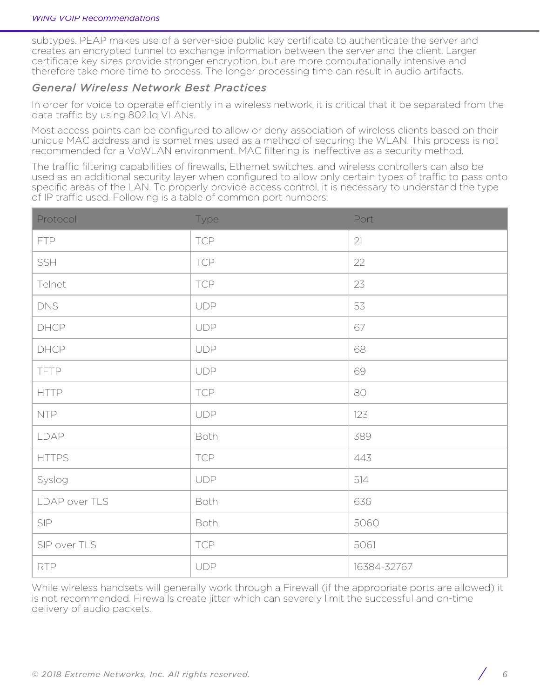subtypes. PEAP makes use of a server-side public key certificate to authenticate the server and creates an encrypted tunnel to exchange information between the server and the client. Larger certificate key sizes provide stronger encryption, but are more computationally intensive and therefore take more time to process. The longer processing time can result in audio artifacts.

## *General Wireless Network Best Practices*

In order for voice to operate efficiently in a wireless network, it is critical that it be separated from the data traffic by using 802.1q VLANs.

Most access points can be configured to allow or deny association of wireless clients based on their unique MAC address and is sometimes used as a method of securing the WLAN. This process is not recommended for a VoWLAN environment. MAC filtering is ineffective as a security method.

The traffic filtering capabilities of firewalls, Ethernet switches, and wireless controllers can also be used as an additional security layer when configured to allow only certain types of traffic to pass onto specific areas of the LAN. To properly provide access control, it is necessary to understand the type of IP traffic used. Following is a table of common port numbers:

| Protocol      | Type       | Port        |
|---------------|------------|-------------|
| <b>FTP</b>    | <b>TCP</b> | 21          |
| SSH           | <b>TCP</b> | 22          |
| Telnet        | <b>TCP</b> | 23          |
| <b>DNS</b>    | <b>UDP</b> | 53          |
| DHCP          | <b>UDP</b> | 67          |
| DHCP          | <b>UDP</b> | 68          |
| <b>TFTP</b>   | <b>UDP</b> | 69          |
| <b>HTTP</b>   | <b>TCP</b> | 80          |
| <b>NTP</b>    | <b>UDP</b> | 123         |
| LDAP          | Both       | 389         |
| <b>HTTPS</b>  | <b>TCP</b> | 443         |
| Syslog        | <b>UDP</b> | 514         |
| LDAP over TLS | Both       | 636         |
| SIP           | Both       | 5060        |
| SIP over TLS  | <b>TCP</b> | 5061        |
| <b>RTP</b>    | <b>UDP</b> | 16384-32767 |

While wireless handsets will generally work through a Firewall (if the appropriate ports are allowed) it is not recommended. Firewalls create jitter which can severely limit the successful and on-time delivery of audio packets.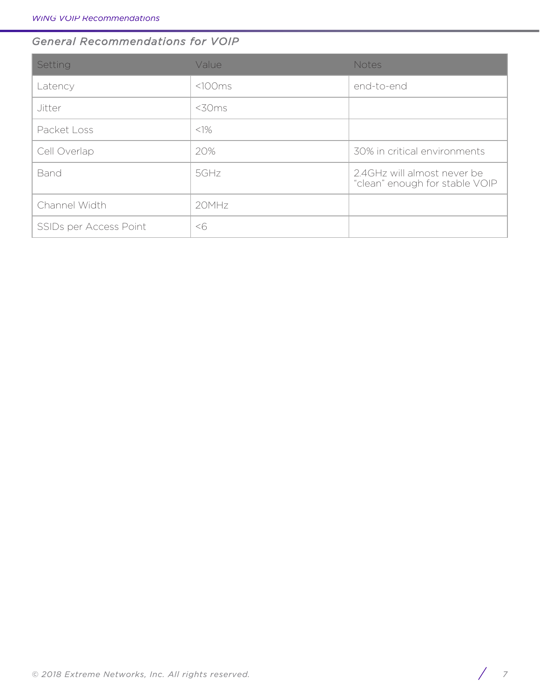# *General Recommendations for VOIP*

| Setting                | Value       | <b>Notes</b>                                                  |
|------------------------|-------------|---------------------------------------------------------------|
| Latency                | <100ms      | end-to-end                                                    |
| Jitter                 | $<$ 30 $ms$ |                                                               |
| Packet Loss            | $<$ 1%      |                                                               |
| Cell Overlap           | 20%         | 30% in critical environments                                  |
| Band                   | 5GHz        | 2.4GHz will almost never be<br>"clean" enough for stable VOIP |
| Channel Width          | 20MHz       |                                                               |
| SSIDs per Access Point | <6          |                                                               |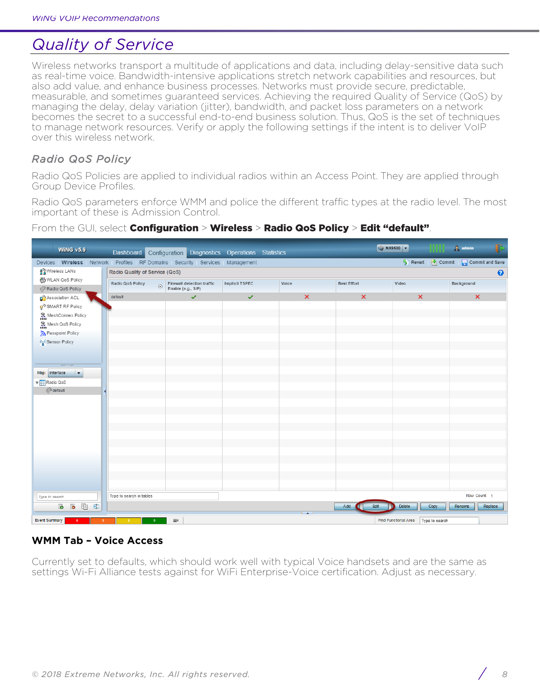# *Quality of Service*

Wireless networks transport a multitude of applications and data, including delay-sensitive data such as real-time voice. Bandwidth-intensive applications stretch network capabilities and resources, but also add value, and enhance business processes. Networks must provide secure, predictable, measurable, and sometimes guaranteed services. Achieving the required Quality of Service (QoS) by managing the delay, delay variation (jitter), bandwidth, and packet loss parameters on a network becomes the secret to a successful end-to-end business solution. Thus, QoS is the set of techniques to manage network resources. Verify or apply the following settings if the intent is to deliver VoIP over this wireless network.

# *Radio QoS Policy*

Radio QoS Policies are applied to individual radios within an Access Point. They are applied through Group Device Profiles.

Radio QoS parameters enforce WMM and police the different traffic types at the radio level. The most important of these is Admission Control.

#### WX9500 - $\frac{1}{2}$  admin WING  $v5.9$ Dashboard Configuration Diagnostics Operations Statistics Devices | Wireless | Network | Profiles | RF Domains | Security | Services | Management Revert | Commit | and Save 몰일 Wireless LANs Radio Quality of Service (QoS)  $\ddot{\mathbf{e}}$ (一) WLAN QoS Policy Radio QoS Policy Firewall detection traffic<br>Enable (e.g., SIP) Implicit TSPEC Voice **Best Effort** Video Background  $\circ$ Radio QoS Policy Association ACL default  $\overline{a}$ SMART RF Policy ה MeshConnex Policy Mesh QoS Policy Passpoint Policy ((e)) Sensor Policy Map: Interface  $|\bullet|$ Radio QoS (<sup>[5</sup>) default Type to search in tables Row Count: 1 Type to search Add ( **b b d d** Edit Delete Copy Rename Replace Find Functional Area | Type to search **Event Summary** Щ£

### From the GUI, select Configuration > Wireless > Radio QoS Policy > Edit "default"

## **WMM Tab – Voice Access**

Currently set to defaults, which should work well with typical Voice handsets and are the same as settings Wi-Fi Alliance tests against for WiFi Enterprise-Voice certification. Adjust as necessary.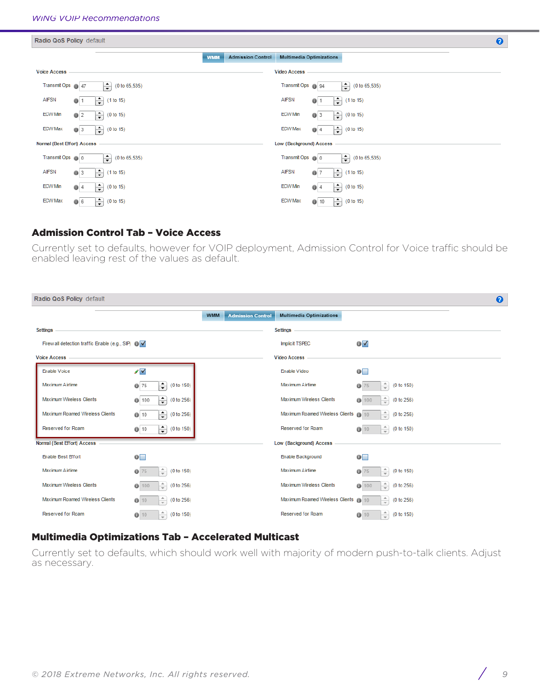| Radio QoS Policy default    |                                               |                                        |                                                                      | $\boldsymbol{\Theta}$ |
|-----------------------------|-----------------------------------------------|----------------------------------------|----------------------------------------------------------------------|-----------------------|
|                             |                                               | <b>Admission Control</b><br><b>WMM</b> | <b>Multimedia Optimizations</b>                                      |                       |
| <b>Voice Access</b>         |                                               |                                        | <b>Video Access</b>                                                  |                       |
| Transmit Ops 147            | ⇛<br>(0 to 65, 535)                           |                                        | Transmit Ops 194<br>$\div$<br>(0 to 65, 535)                         |                       |
| <b>AIFSN</b>                | ╞<br>(1 to 15)<br>$Q$ 1                       |                                        | $\left  \div \right $<br><b>AIFSN</b><br>(1 to 15)<br>0              |                       |
| ECW Min                     | $ \hat{\div} $<br>(0 to 15)<br>0 <sup>2</sup> |                                        | $\div$<br><b>ECW Min</b><br>(0 to 15)<br>$Q = 3$                     |                       |
| <b>ECW Max</b>              | $ \hat{\div} $<br>(0 to 15)<br>$Q = 3$        |                                        | $\left  \div \right $<br><b>ECW Max</b><br>(0 to 15)<br>$Q$ 4        |                       |
| Normal (Best Effort) Access |                                               |                                        | Low (Background) Access                                              |                       |
| Transmit Ops (b) 0          | ≑<br>(0 to 65, 535)                           |                                        | Transmit Ops (b) 0<br>₩<br>(0 to 65, 535)                            |                       |
| <b>AIFSN</b>                | H<br>(1 to 15)<br>$Q = 3$                     |                                        | $\div$<br><b>AIFSN</b><br>(1 to 15)<br>0 <sub>7</sub>                |                       |
| <b>ECW Min</b>              | H<br>(0 to 15)<br>$Q$ 4                       |                                        | $\div$<br><b>ECW Min</b><br>(0 to 15)<br>$Q$ 4                       |                       |
| <b>ECW Max</b>              | H<br>(0 to 15)<br>06                          |                                        | $\left  \div \right $<br><b>ECW Max</b><br>(0 to 15)<br>$\bullet$ 10 |                       |

### Admission Control Tab – Voice Access

Currently set to defaults, however for VOIP deployment, Admission Control for Voice traffic should be enabled leaving rest of the values as default.

| Radio QoS Policy default                           |                                                                                         |            |                          |                                 |                                                 | $\bullet$ |
|----------------------------------------------------|-----------------------------------------------------------------------------------------|------------|--------------------------|---------------------------------|-------------------------------------------------|-----------|
|                                                    |                                                                                         | <b>WMM</b> | <b>Admission Control</b> | <b>Multimedia Optimizations</b> |                                                 |           |
| Settings                                           |                                                                                         |            |                          | <b>Settings</b>                 |                                                 |           |
| Firew all detection traffic Enable (e.g., SIP) O V |                                                                                         |            |                          | <b>Implicit TSPEC</b>           | $\overline{\mathbf{0}}$ $\overline{\mathbf{v}}$ |           |
| <b>Voice Access</b>                                |                                                                                         |            |                          | <b>Video Access</b>             |                                                 |           |
| <b>Enable Voice</b>                                | $\sqrt{}$                                                                               |            |                          | Enable Video                    | $\bullet$                                       |           |
| Maximum Airtime                                    | $\left( \begin{matrix} \bullet \\ \bullet \end{matrix} \right)$<br>(0 to 150)<br>$Q$ 75 |            |                          | Maximum Airtime                 | ÷.<br>(0 to 150)<br>0<br>75                     |           |
| <b>Maximum Wireless Clients</b>                    | $\div$<br>(0 to 256)<br>0100                                                            |            |                          | <b>Maximum Wireless Clients</b> | ÷<br>(0 to 256)<br>0100                         |           |
| Maximum Roamed Wireless Clients                    | $\left  \div \right $<br>(0 to 256)<br>() 10                                            |            |                          | Maximum Roamed Wireless Clients | ÷<br>(0 to 256)<br>$Q$ 10                       |           |
| <b>Reserved for Roam</b>                           | €<br>(0 to 150)<br>010                                                                  |            |                          | <b>Reserved for Roam</b>        | $\frac{1}{\pi}$<br>(0 to 150)<br>010            |           |
| Normal (Best Effort) Access                        |                                                                                         |            |                          | Low (Background) Access         |                                                 |           |
| <b>Enable Best Effort</b>                          | $\overline{\mathbf{0}}$                                                                 |            |                          | Enable Background               | $\bullet$                                       |           |
| Maximum Airtime                                    | ÷<br>(0 to 150)<br>075                                                                  |            |                          | Maximum Airtime                 | ÷.<br>(0 to 150)<br>0<br>75                     |           |
| <b>Maximum Wireless Clients</b>                    | ÷<br>(0 to 256)<br>0100                                                                 |            |                          | Maximum Wireless Clients        | ÷<br>(0 to 256)<br>0100                         |           |
| <b>Maximum Roamed Wireless Clients</b>             | ÷<br>(0 to 256)<br>010                                                                  |            |                          | Maximum Roamed Wireless Clients | $\hat{=}$<br>(0 to 256)<br>$0$ 10               |           |
| <b>Reserved for Roam</b>                           | (0 to 150)<br>010                                                                       |            |                          | <b>Reserved for Roam</b>        | (0 to 150)<br>010                               |           |

## Multimedia Optimizations Tab – Accelerated Multicast

Currently set to defaults, which should work well with majority of modern push-to-talk clients. Adjust as necessary.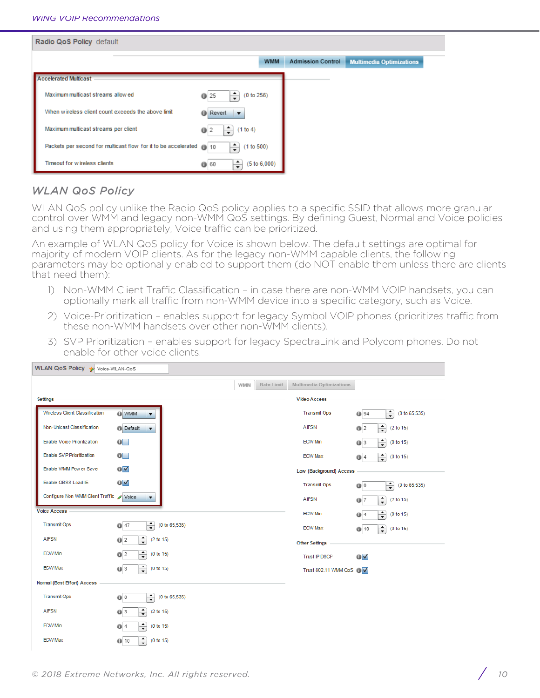| Radio QoS Policy default                                              |                                         |                          |                                 |  |
|-----------------------------------------------------------------------|-----------------------------------------|--------------------------|---------------------------------|--|
|                                                                       | <b>WMM</b>                              | <b>Admission Control</b> | <b>Multimedia Optimizations</b> |  |
| <b>Accelerated Multicast</b>                                          |                                         |                          |                                 |  |
| Maximum multicast streams allow ed                                    | ÷<br>(0 to 256)<br>$Q$ 25               |                          |                                 |  |
| When wireless client count exceeds the above limit                    | <b>O</b> Revert<br>$\blacktriangledown$ |                          |                                 |  |
| Maximum multicast streams per client                                  | (1 to 4)<br>0                           |                          |                                 |  |
| Packets per second for multicast flow for it to be accelerated (a) 10 | ÷<br>(1 to 500)                         |                          |                                 |  |
| Timeout for w ireless clients                                         | $\div$<br>(5 to 6,000)<br>6060          |                          |                                 |  |

# *WLAN QoS Policy*

WLAN QoS policy unlike the Radio QoS policy applies to a specific SSID that allows more granular control over WMM and legacy non-WMM QoS settings. By defining Guest, Normal and Voice policies and using them appropriately, Voice traffic can be prioritized.

An example of WLAN QoS policy for Voice is shown below. The default settings are optimal for majority of modern VOIP clients. As for the legacy non-WMM capable clients, the following parameters may be optionally enabled to support them (do NOT enable them unless there are clients that need them):

- 1) Non-WMM Client Traffic Classification in case there are non-WMM VOIP handsets, you can optionally mark all traffic from non-WMM device into a specific category, such as Voice.
- 2) Voice-Prioritization enables support for legacy Symbol VOIP phones (prioritizes traffic from these non-WMM handsets over other non-WMM clients).
- 3) SVP Prioritization enables support for legacy SpectraLink and Polycom phones. Do not enable for other voice clients.

| WLAN QOS POIICY Voice-WLAN-QoS           |                                                 |            |            |                               |                                       |
|------------------------------------------|-------------------------------------------------|------------|------------|-------------------------------|---------------------------------------|
|                                          |                                                 | <b>WMM</b> | Rate Limit | Multimedia Optimizations      |                                       |
| Settings                                 |                                                 |            |            | <b>Video Access</b>           |                                       |
| <b>Wireless Client Classification</b>    | O WMM<br>$\blacktriangledown$                   |            |            | <b>Transmit Ops</b>           | €<br>(0 to 65, 535)<br><b>0</b> 94    |
| Non-Unicast Classification               | <b>Default</b><br>$\overline{\phantom{a}}$      |            |            | <b>AIFSN</b>                  | $\div$<br>(2 to 15)<br>0 <sup>2</sup> |
| <b>Enable Voice Prioritization</b>       | $\mathbf{0}$                                    |            |            | <b>ECW Min</b>                | ÷<br>(0 to 15)<br>$Q$ 3               |
| Enable SVP Prioritization                | $\mathbf{0}$                                    |            |            | <b>ECW Max</b>                | $\div$<br>(0 to 15)<br>$Q$ 4          |
| Enable WMM Pow er Save                   | $\overline{\mathbf{0}}$ $\overline{\mathbf{v}}$ |            |            | Low (Background) Access       |                                       |
| Enable QBSS Load IE                      | $\overline{\mathbf{0}}$ $\overline{\mathbf{v}}$ |            |            | <b>Transmit Ops</b>           | €<br>(0 to 65, 535)<br>00             |
| Configure Non WMM Client Traffic / Voice | $\overline{\mathbf{v}}$                         |            |            | <b>AIFSN</b>                  | $\div$<br>(2 to 15)<br>$Q$ 7          |
| <b>Voice Access</b>                      |                                                 |            |            | <b>ECW Min</b>                | $\div$<br>(0 to 15)<br>$Q$ 4          |
| <b>Transmit Ops</b>                      | $\div$<br>(0 to 65, 535)<br>$Q$ 47              |            |            | <b>ECW Max</b>                | $\div$<br>(0 to 15)<br>010            |
| <b>AIFSN</b>                             | $\div$<br>(2 to 15)<br>0 <sup>2</sup>           |            |            | <b>Other Settings</b>         |                                       |
| <b>ECW Min</b>                           | $\div$<br>0 <sup>2</sup><br>(0 to 15)           |            |            | <b>Trust IP DSCP</b>          | $\overline{O}$                        |
| <b>ECW Max</b>                           | $\div$<br>03<br>(0 to 15)                       |            |            | Trust 802.11 WMM QoS <b>D</b> |                                       |
| Normal (Best Effort) Access              |                                                 |            |            |                               |                                       |
| <b>Transmit Ops</b>                      | €<br>(0 to 65, 535)<br>00                       |            |            |                               |                                       |
| <b>AIFSN</b>                             | $\div$<br>$Q$ 3<br>(2 to 15)                    |            |            |                               |                                       |
| <b>ECW Min</b>                           | $\div$<br>(0 to 15)<br>04                       |            |            |                               |                                       |
| <b>ECW Max</b>                           | $\div$<br>$Q$ 10<br>(0 to 15)                   |            |            |                               |                                       |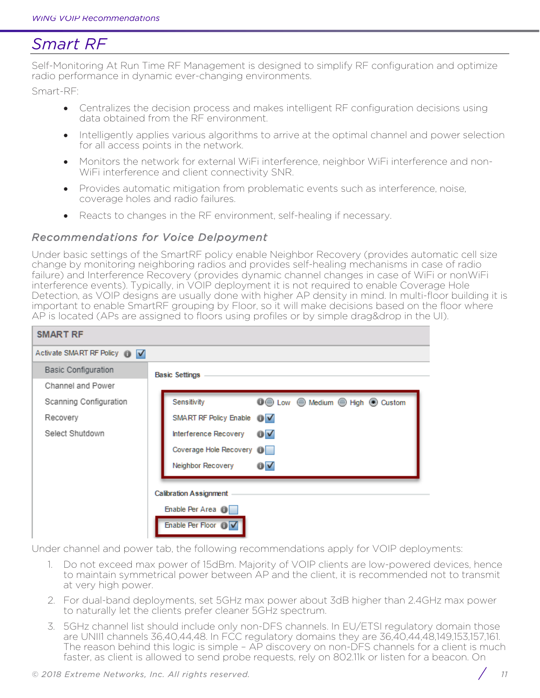# *Smart RF*

Self-Monitoring At Run Time RF Management is designed to simplify RF configuration and optimize radio performance in dynamic ever-changing environments.

Smart-RF:

- Centralizes the decision process and makes intelligent RF configuration decisions using data obtained from the RF environment.
- Intelligently applies various algorithms to arrive at the optimal channel and power selection for all access points in the network.
- Monitors the network for external WiFi interference, neighbor WiFi interference and non-WiFi interference and client connectivity SNR.
- Provides automatic mitigation from problematic events such as interference, noise, coverage holes and radio failures.
- Reacts to changes in the RF environment, self-healing if necessary.

## *Recommendations for Voice Delpoyment*

Under basic settings of the SmartRF policy enable Neighbor Recovery (provides automatic cell size change by monitoring neighboring radios and provides self-healing mechanisms in case of radio failure) and Interference Recovery (provides dynamic channel changes in case of WiFi or nonWiFi interference events). Typically, in VOIP deployment it is not required to enable Coverage Hole Detection, as VOIP designs are usually done with higher AP density in mind. In multi-floor building it is important to enable SmartRF grouping by Floor, so it will make decisions based on the floor where AP is located (APs are assigned to floors using profiles or by simple drag&drop in the UI).

| SMART RF                     |                                                                          |
|------------------------------|--------------------------------------------------------------------------|
| Activate SMART RF Policy 1 V |                                                                          |
| <b>Basic Configuration</b>   | <b>Basic Settings</b>                                                    |
| Channel and Power            |                                                                          |
| Scanning Configuration       | Sensitivity                                                              |
| Recovery                     | SMART RF Policy Enable 1 V                                               |
| Select Shutdown              | $\overline{\mathbf{0}}$ $\overline{\mathbf{v}}$<br>Interference Recovery |
|                              | Coverage Hole Recovery <b>D</b>                                          |
|                              | $\overline{\mathbf{0}}$ $\overline{\mathbf{v}}$<br>Neighbor Recovery     |
|                              |                                                                          |
|                              | <b>Calibration Assignment</b>                                            |
|                              | Enable Per Area O                                                        |
|                              | Enable Per Floor 1                                                       |

Under channel and power tab, the following recommendations apply for VOIP deployments:

- 1. Do not exceed max power of 15dBm. Majority of VOIP clients are low-powered devices, hence to maintain symmetrical power between AP and the client, it is recommended not to transmit at very high power.
- 2. For dual-band deployments, set 5GHz max power about 3dB higher than 2.4GHz max power to naturally let the clients prefer cleaner 5GHz spectrum.
- 3. 5GHz channel list should include only non-DFS channels. In EU/ETSI regulatory domain those are UNII1 channels 36,40,44,48. In FCC regulatory domains they are 36,40,44,48,149,153,157,161. The reason behind this logic is simple - AP discovery on non-DFS channels for a client is much faster, as client is allowed to send probe requests, rely on 802.11k or listen for a beacon. On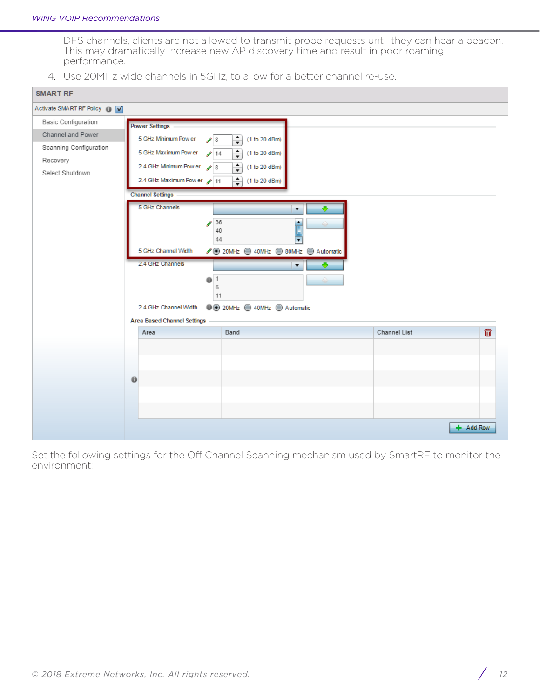DFS channels, clients are not allowed to transmit probe requests until they can hear a beacon. This may dramatically increase new AP discovery time and result in poor roaming performance.

4. Use 20MHz wide channels in 5GHz, to allow for a better channel re-use.

| <b>SMART RF</b>                             |                                                                                                                                                                 |                                        |  |
|---------------------------------------------|-----------------------------------------------------------------------------------------------------------------------------------------------------------------|----------------------------------------|--|
| Activate SMART RF Policy 1 V                |                                                                                                                                                                 |                                        |  |
| <b>Basic Configuration</b>                  | <b>Power Settings</b>                                                                                                                                           |                                        |  |
| Channel and Power<br>Scanning Configuration | 5 GHz Minimum Pow er<br>$\div$<br>(1 to 20 dBm)<br>$\mathcal{S}$ 8<br>5 GHz Maximum Pow er<br>$\frac{1}{\sqrt{2}}$<br>(1 to 20 dBm)<br>$\blacktriangleright$ 14 |                                        |  |
| Recovery<br>Select Shutdown                 | 2.4 GHz Minimum Pow er<br>$\div$<br>(1 to 20 dBm)<br>28<br>2.4 GHz Maximum Pow er 11<br>€<br>(1 to 20 dBm)                                                      |                                        |  |
|                                             | <b>Channel Settings</b>                                                                                                                                         |                                        |  |
|                                             | 5 GHz Channels<br>$\overline{\mathbf{v}}$<br>36<br>٠<br>$\mathcal{L}$<br>I<br>40<br>44<br>$\overline{\phantom{0}}$                                              |                                        |  |
|                                             | 5 GHz Channel Width<br>SOMHz ● 40MHz ● 80MHz ● Automatic                                                                                                        |                                        |  |
|                                             | 2.4 GHz Channels<br>◆<br>$\blacktriangledown$<br>0 <sup>1</sup><br>6<br>11                                                                                      |                                        |  |
|                                             | <b>O</b> 20MHz ● 40MHz ● Automatic<br>2.4 GHz Channel Width                                                                                                     |                                        |  |
|                                             | <b>Area Based Channel Settings</b>                                                                                                                              |                                        |  |
|                                             | Band<br>Area                                                                                                                                                    | $\widehat{\mathbb{U}}$<br>Channel List |  |
|                                             |                                                                                                                                                                 |                                        |  |
|                                             |                                                                                                                                                                 |                                        |  |
|                                             | 0                                                                                                                                                               |                                        |  |
|                                             |                                                                                                                                                                 |                                        |  |
|                                             |                                                                                                                                                                 |                                        |  |
|                                             |                                                                                                                                                                 | + Add Row                              |  |

Set the following settings for the Off Channel Scanning mechanism used by SmartRF to monitor the environment: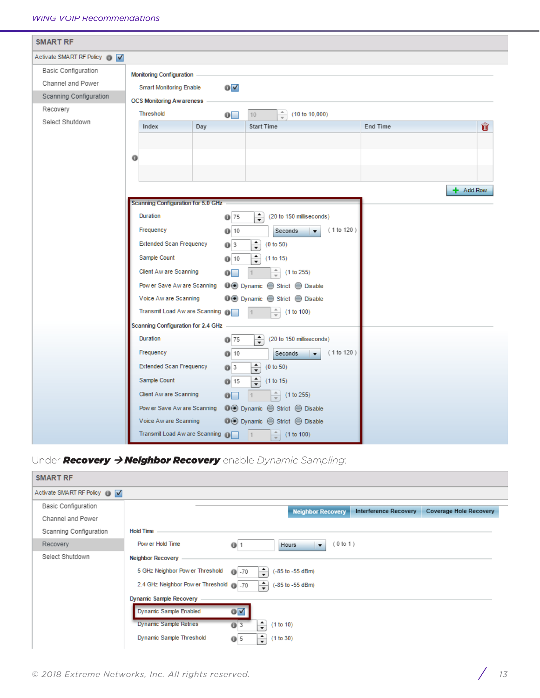| <b>SMART RF</b>                                                                       |                                                                                                                                                                                                                                                                                                                                                                                                                                                                                                                                                                                                                                                                                                                                            |           |
|---------------------------------------------------------------------------------------|--------------------------------------------------------------------------------------------------------------------------------------------------------------------------------------------------------------------------------------------------------------------------------------------------------------------------------------------------------------------------------------------------------------------------------------------------------------------------------------------------------------------------------------------------------------------------------------------------------------------------------------------------------------------------------------------------------------------------------------------|-----------|
| Activate SMART RF Policy O                                                            |                                                                                                                                                                                                                                                                                                                                                                                                                                                                                                                                                                                                                                                                                                                                            |           |
| <b>Basic Configuration</b><br>Channel and Power<br>Scanning Configuration<br>Recovery | <b>Monitoring Configuration</b><br>$0\lambda$<br><b>Smart Monitoring Enable</b><br><b>OCS Monitoring Awareness</b><br>Threshold<br>$\frac{1}{\sqrt{2}}$<br>(10 to 10,000)<br>$\overline{\mathbf{0}}$<br>10 <sup>1</sup>                                                                                                                                                                                                                                                                                                                                                                                                                                                                                                                    |           |
| Select Shutdown                                                                       | <b>End Time</b><br>Index<br>Day<br><b>Start Time</b><br>0                                                                                                                                                                                                                                                                                                                                                                                                                                                                                                                                                                                                                                                                                  | 命         |
|                                                                                       | Scanning Configuration for 5.0 GHz<br>Duration<br>€<br>$Q$ 75<br>(20 to 150 milliseconds)<br>(1 to 120)<br>Frequency<br>010<br>Seconds<br>$\blacktriangledown$<br><b>Extended Scan Frequency</b><br>÷<br>(0 to 50)<br>03<br>$\frac{1}{\tau}$<br>Sample Count<br>(1 to 15)<br>010<br>Client Aw are Scanning<br>$\frac{1}{\tau}$<br>(1 to 255)<br>$\bullet$<br>Pow er Save Aw are Scanning<br>Voice Aw are Scanning<br><b>D</b> ⊙ Dynamic ⊜ Strict ⊜ Disable<br>Transmit Load Aw are Scanning O<br>(1 to 100)<br>Scanning Configuration for 2.4 GHz<br>€<br>Duration<br>(20 to 150 milliseconds)<br>$Q$ 75<br>(1 to 120)<br>Frequency<br>010<br>Seconds<br>$\blacktriangledown$<br><b>Extended Scan Frequency</b><br>÷<br>(0 to 50)<br>$Q$ 3 | + Add Row |
|                                                                                       | Sample Count<br>$\div$<br>$0$ 15<br>(1 to 15)<br>Client Aw are Scanning<br>$\frac{1}{\sqrt{2}}$<br>(1 to 255)<br>$\mathbf{0}$<br>Pow er Save Aw are Scanning<br><b>O</b> ⊙ Dynamic  Strict  Disable<br>Voice Aw are Scanning<br><b>D</b> ⊙ Dynamic ⊜ Strict ⊜ Disable<br>Transmit Load Aw are Scanning O<br>(1 to 100)<br>$\vert$ 1                                                                                                                                                                                                                                                                                                                                                                                                        |           |

# Under *Recovery* à *Neighbor Recovery* enable *Dynamic Sampling*:

| <b>SMART RF</b>                     |                                                                             |  |
|-------------------------------------|-----------------------------------------------------------------------------|--|
| Activate SMART RF Policy <b>D</b> V |                                                                             |  |
| <b>Basic Configuration</b>          | Interference Recovery<br>Coverage Hole Recovery<br><b>Neighbor Recovery</b> |  |
| Channel and Power                   |                                                                             |  |
| Scanning Configuration              | <b>Hold Time</b>                                                            |  |
| Recovery                            | Pow er Hold Time<br>(0 to 1)<br>$\bf{0}$<br>$\mathbf{v}$<br>Hours           |  |
| Select Shutdown                     | Neighbor Recovery                                                           |  |
|                                     | 5 GHz Neighbor Pow er Threshold<br>÷<br>(-85 to -55 dBm)<br>$\bullet$ -70   |  |
|                                     | 2.4 GHz Neighbor Pow er Threshold @ 70<br>$\Rightarrow$<br>(-85 to -55 dBm) |  |
|                                     | <b>Dynamic Sample Recovery</b>                                              |  |
|                                     | 0 <sub>N</sub><br>Dynamic Sample Enabled                                    |  |
|                                     | <b>Dynamic Sample Retries</b><br>÷<br>03<br>(1 to 10)                       |  |
|                                     | Dynamic Sample Threshold<br>÷<br>(1 to 30)<br>05                            |  |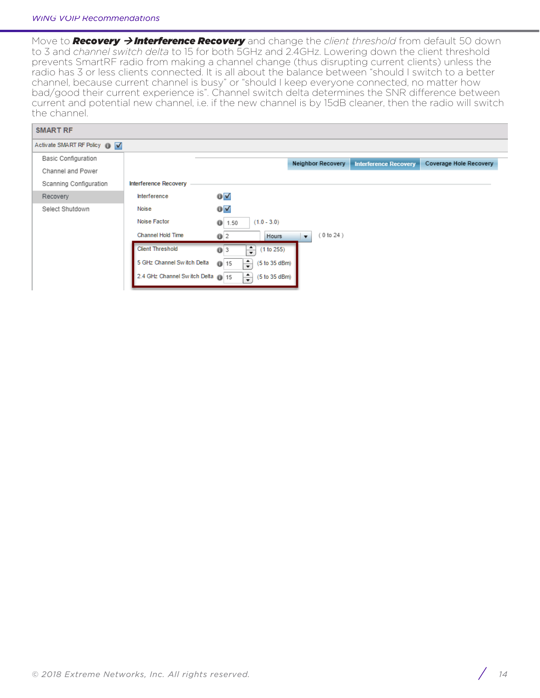Move to **Recovery > Interference Recovery** and change the *client threshold* from default 50 down to 3 and *channel switch delta* to 15 for both 5GHz and 2.4GHz. Lowering down the client threshold prevents SmartRF radio from making a channel change (thus disrupting current clients) unless the radio has 3 or less clients connected. It is all about the balance between "should I switch to a better channel, because current channel is busy" or "should I keep everyone connected, no matter how bad/good their current experience is". Channel switch delta determines the SNR difference between current and potential new channel, i.e. if the new channel is by 15dB cleaner, then the radio will switch the channel.

| <b>SMART RF</b>              |                                  |                                    |                          |                              |                        |
|------------------------------|----------------------------------|------------------------------------|--------------------------|------------------------------|------------------------|
| Activate SMART RF Policy n V |                                  |                                    |                          |                              |                        |
| <b>Basic Configuration</b>   |                                  |                                    | <b>Neighbor Recovery</b> | <b>Interference Recovery</b> | Coverage Hole Recovery |
| Channel and Power            |                                  |                                    |                          |                              |                        |
| Scanning Configuration       | Interference Recovery            |                                    |                          |                              |                        |
| Recovery                     | Interference                     | $\bullet$ $\checkmark$             |                          |                              |                        |
| Select Shutdown              | Noise                            | $\bullet$ $\checkmark$             |                          |                              |                        |
|                              | Noise Factor                     | $(1.0 - 3.0)$<br>$\bullet$<br>1.50 |                          |                              |                        |
|                              | Channel Hold Time                | Hours<br>Q <sub>2</sub>            | (0 to 24)<br>$\cdot$     |                              |                        |
|                              | <b>Client Threshold</b>          | ÷<br>(1 to 255)<br>$Q$ 3           |                          |                              |                        |
|                              | 5 GHz Channel Switch Delta       | ÷<br>(5 to 35 dBm)<br>$Q$ 15       |                          |                              |                        |
|                              | 2.4 GHz Channel Switch Delta (15 | ÷<br>(5 to 35 dBm)                 |                          |                              |                        |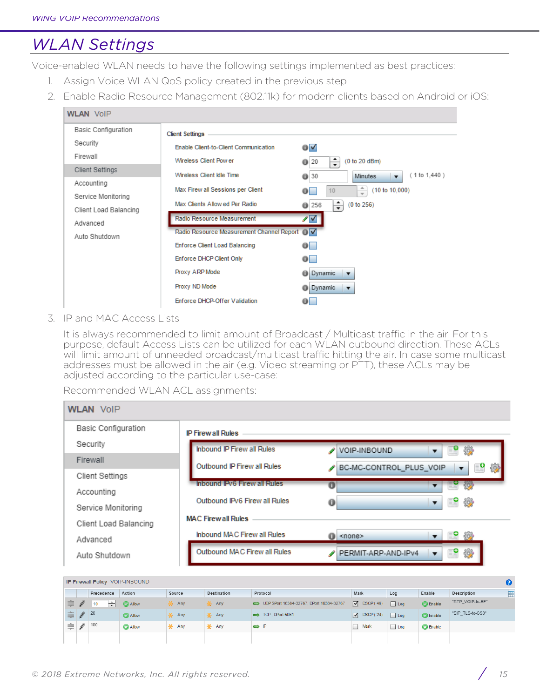# *WLAN Settings*

Voice-enabled WLAN needs to have the following settings implemented as best practices:

- 1. Assign Voice WLAN QoS policy created in the previous step
- 2. Enable Radio Resource Management (802.11k) for modern clients based on Android or iOS:

| <b>WLAN VOIP</b>           |                                                 |                                                                      |
|----------------------------|-------------------------------------------------|----------------------------------------------------------------------|
| <b>Basic Configuration</b> | <b>Client Settings</b>                          |                                                                      |
| Security                   | Enable Client-to-Client Communication           | ◑✔                                                                   |
| Firewall                   | Wireless Client Pow er                          | $\div$<br>(0 to 20 dBm)<br>$Q$ 20                                    |
| <b>Client Settings</b>     | Wireless Client Idle Time                       | (1 to 1, 440)<br>$Q$ 30<br><b>Minutes</b><br>$\overline{\mathbf{v}}$ |
| Accounting                 | Max Firew all Sessions per Client               | $\hat{=}$<br>(10 to 10,000)<br>10<br>$\bullet$                       |
| Service Monitoring         | Max Clients Allow ed Per Radio                  | ÷<br>(0 to 256)<br>$Q$ 256                                           |
| Client Load Balancing      | Radio Resource Measurement                      |                                                                      |
| Advanced                   |                                                 | ∕⊽                                                                   |
| Auto Shutdown              | Radio Resource Measurement Channel Report (i) V |                                                                      |
|                            | <b>Enforce Client Load Balancing</b>            | $\bullet$                                                            |
|                            | Enforce DHCP Client Only                        | $\bullet$                                                            |
|                            | Proxy ARP Mode                                  | <b>Dynamic</b><br>$\overline{\mathbf{v}}$                            |
|                            | Proxy ND Mode                                   | <b>Dynamic</b><br>$\overline{\mathbf{v}}$                            |
|                            | Enforce DHCP-Offer Validation                   | $\bullet$                                                            |

### 3. IP and MAC Access Lists

It is always recommended to limit amount of Broadcast / Multicast traffic in the air. For this purpose, default Access Lists can be utilized for each WLAN outbound direction. These ACLs will limit amount of unneeded broadcast/multicast traffic hitting the air. In case some multicast addresses must be allowed in the air (e.g. Video streaming or PTT), these ACLs may be adjusted according to the particular use-case:

Recommended WLAN ACL assignments:

| <b>WLAN VOIP</b>           |                                     |                                                                   |
|----------------------------|-------------------------------------|-------------------------------------------------------------------|
| <b>Basic Configuration</b> | <b>IP Firewall Rules</b>            |                                                                   |
| Security                   | <b>Inbound IP Firew all Rules</b>   | ₽<br>後<br>VOIP-INBOUND<br>▼                                       |
| Firewall                   | Outbound IP Firew all Rules         | 纱<br>P<br>BC-MC-CONTROL_PLUS_VOIP<br>í<br>$\overline{\mathbf{v}}$ |
| Client Settings            | <b>Inbound IPv6 Firew all Rules</b> |                                                                   |
| Accounting                 |                                     | ΰ<br>5.                                                           |
| Service Monitoring         | Outbound IPv6 Firew all Rules       | ₽<br>₩<br>$\bf{0}$<br>▼                                           |
| Client Load Balancing      | <b>MAC Firewall Rules</b>           |                                                                   |
| Advanced                   | Inbound MAC Firew all Rules         | 462<br>$\bullet$ <none></none>                                    |
| Auto Shutdown              | Outbound MAC Firew all Rules        | ₽<br>變<br>PERMIT-ARP-AND-IPv4<br>▼                                |

|          |               |                   | <b>IP Firewall Policy VOIP-INBOUND</b> |          |              |                                          |                      |            |                 |                  |   |
|----------|---------------|-------------------|----------------------------------------|----------|--------------|------------------------------------------|----------------------|------------|-----------------|------------------|---|
|          |               | Precedence        | Action                                 | Source   | Destination  | Protocol                                 | Mark                 | Log        | Enable          | Description      | E |
| 言        | <u>I</u>      | ÷<br>$ 10\rangle$ | <b>C</b> Allow                         | 条 Any    | 美 Any        | UDP SPort 16384-32767, DPort 16384-32767 | $\sqrt{ }$ DSCP (46) | Log        | <b>C</b> Enable | "RTP VOIP-to-EF" |   |
| 1 Ş I    | $\mathscr{U}$ | 20                | <b>C</b> Allow                         | ia¥⊱ Any | io Any       | $\implies$ TCP, DPort 5061               | $\nabla$ DSCP (24)   | $\Box$ Log | <b>C</b> Enable | "SIP_TLS-to-CS3" |   |
| $\equiv$ | $\mathscr Y$  | 100               | <b>C</b> Allow                         | * Any    | <b>美</b> Any | $\Rightarrow$ $\mathbb{P}$               | Mark                 | $\Box$ Log | <b>C</b> Enable |                  |   |
|          |               |                   |                                        |          |              |                                          |                      |            |                 |                  |   |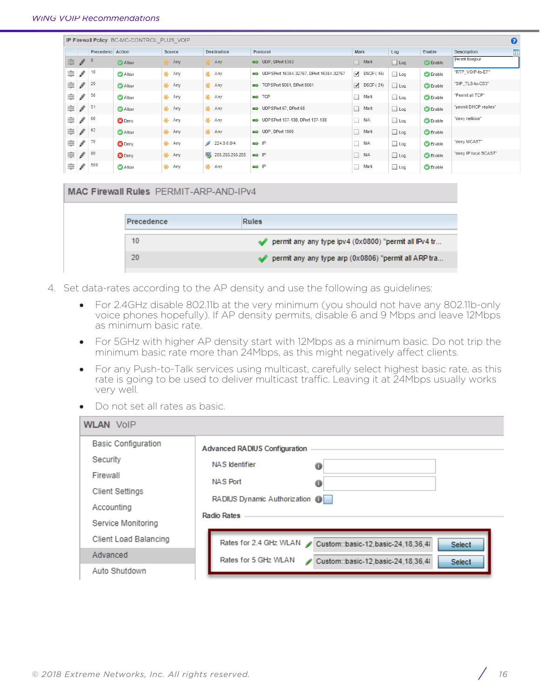|   | $\boldsymbol{\Theta}$<br>IP Firewall Policy BC-MC-CONTROL PLUS VOIP |                  |                |                    |                    |                                          |                    |            |                 |                       |
|---|---------------------------------------------------------------------|------------------|----------------|--------------------|--------------------|------------------------------------------|--------------------|------------|-----------------|-----------------------|
|   |                                                                     | Precedenc Action |                | Source             | Destination        | Protocol                                 | Mark               | Log        | Enable          | 囯<br>Description      |
| 丰 | $\frac{d}{dt}$                                                      | 9                | <b>Allow</b>   | -‰ Any             | <b>美</b> Any       | $\implies$ UDP, DPort 5353               | $\Box$ Mark        | $\Box$ Log | <b>C</b> Enable | Permit Bonjour        |
| ≢ | IJ                                                                  | 10               | <b>C</b> Allow | - Any              | -¥ Any             | UDP SPort 16384-32767, DPort 16384-32767 | $\nabla$ DSCP (46) | $\Box$ Log | <b>C</b> Enable | "RTP_VOIP-to-EF"      |
| ≢ | $\mathscr{Q}$                                                       | 20               | <b>C</b> Allow | <b>美</b> Any       | <b>美</b> Any       | TCP SPort 5061, DPort 5061               | $\nabla$ DSCP (24) | $\Box$ Log | <b>C</b> Enable | "SIP_TLS-to-CS3"      |
| ≢ | IJ                                                                  | 50               | <b>C</b> Allow | <b>美</b> Any       | <b>美</b> Any       | $\Rightarrow$ TCP                        | п<br>Mark          | $\Box$ Log | <b>C</b> Enable | "Permit all TCP"      |
| ≢ | $\frac{d}{dt}$                                                      | 51               | <b>C</b> Allow | <b>美</b> Any       | <b>美 Any</b>       | UDP SPort 67, DPort 68                   | $\Box$ Mark        | $\Box$ Log | <b>C</b> Enable | "permit DHCP replies" |
| ≢ | ∥                                                                   | 60               | <b>B</b> Deny  | <b>美</b> Any       | <b>美</b> Any       | UDP SPort 137-138, DPort 137-138         | N/A                | $\Box$ Log | <b>C</b> Enable | "deny netbios"        |
| ≢ | ∥                                                                   | 62               | <b>C</b> Allow | <b>美 Any</b>       | -¥ Any             | UDP, DPort 1900                          | Mark               | $\Box$ Log | <b>C</b> Enable |                       |
| ≢ | IJ                                                                  | 70               | <b>B</b> Deny  | * Any              | s<br>224.0.0.0/4   | $\Rightarrow$ $\mathbb{P}$               | N/A                | $\Box$ Log | <b>C</b> Enable | "deny MCAST"          |
| ≢ | $\mathscr{Y}$                                                       | 80               | <b>B</b> Deny  | - <del>¥</del> Any | 255.255.255.255    | $\Rightarrow P$                          | $N$ A              | $\Box$ Log | <b>C</b> Enable | "deny IP local BCAST" |
| ≑ | ∥                                                                   | 500              | <b>C</b> Allow | * Any              | - <del>¥</del> Any | $\Rightarrow$ $\mathbb{P}$               | Mark               | $\Box$ Log | <b>C</b> Enable |                       |

| MAC Firewall Rules PERMIT-ARP-AND-IPv4 |                                                                 |
|----------------------------------------|-----------------------------------------------------------------|
|                                        |                                                                 |
| Precedence                             | Rules                                                           |
| 10                                     | permit any any type ipv4 $(0 \times 0800)$ "permit all IPv4 tr  |
| 20                                     | $\diamond$ permit any any type arp (0x0806) "permit all ARP tra |
|                                        |                                                                 |

- 4. Set data-rates according to the AP density and use the following as guidelines:
	- For 2.4GHz disable 802.11b at the very minimum (you should not have any 802.11b-only voice phones hopefully). If AP density permits, disable 6 and 9 Mbps and leave 12Mbps as minimum basic rate.
	- For 5GHz with higher AP density start with 12Mbps as a minimum basic. Do not trip the minimum basic rate more than 24Mbps, as this might negatively affect clients.
	- For any Push-to-Talk services using multicast, carefully select highest basic rate, as this rate is going to be used to deliver multicast traffic. Leaving it at 24Mbps usually works very well.
	- Do not set all rates as basic.

| <b>WLAN VOIP</b>                                                                                          |                                                                                                                                                           |
|-----------------------------------------------------------------------------------------------------------|-----------------------------------------------------------------------------------------------------------------------------------------------------------|
| <b>Basic Configuration</b><br>Security<br>Firewall<br>Client Settings<br>Accounting<br>Service Monitoring | <b>Advanced RADIUS Configuration</b><br>NAS Identifier<br>0<br>NAS Port<br>0<br>RADIUS Dynamic Authorization (D)<br><b>Radio Rates</b>                    |
| Client Load Balancing<br>Advanced<br>Auto Shutdown                                                        | Rates for 2.4 GHz WLAN<br>Custom::basic-12,basic-24,18,36,41<br><b>Select</b><br>Rates for 5 GHz WLAN<br>Custom::basic-12.basic-24.18.36.4<br>₽<br>Select |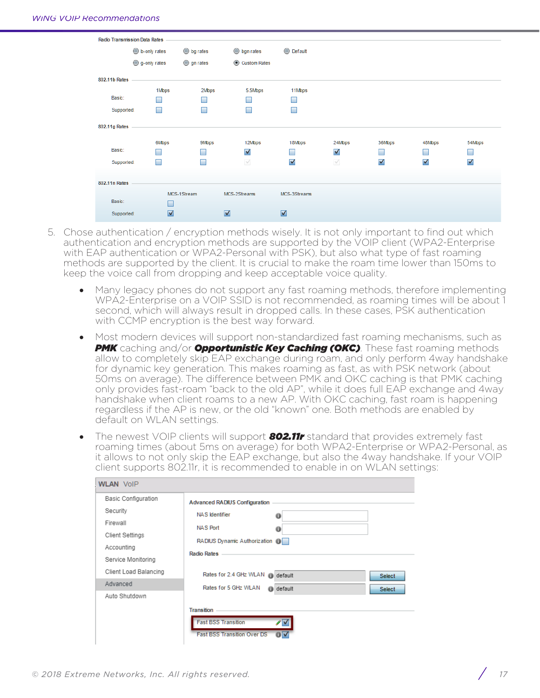

- 5. Chose authentication / encryption methods wisely. It is not only important to find out which authentication and encryption methods are supported by the VOIP client (WPA2-Enterprise with EAP authentication or WPA2-Personal with PSK), but also what type of fast roaming methods are supported by the client. It is crucial to make the roam time lower than 150ms to keep the voice call from dropping and keep acceptable voice quality.
	- Many legacy phones do not support any fast roaming methods, therefore implementing WPA2-Enterprise on a VOIP SSID is not recommended, as roaming times will be about 1 second, which will always result in dropped calls. In these cases, PSK authentication with CCMP encryption is the best way forward.
	- Most modern devices will support non-standardized fast roaming mechanisms, such as *PMK* caching and/or *Opportunistic Key Caching (OKC)*. These fast roaming methods allow to completely skip EAP exchange during roam, and only perform 4way handshake for dynamic key generation. This makes roaming as fast, as with PSK network (about 50ms on average). The difference between PMK and OKC caching is that PMK caching only provides fast-roam "back to the old AP", while it does full EAP exchange and 4way handshake when client roams to a new AP. With OKC caching, fast roam is happening regardless if the AP is new, or the old "known" one. Both methods are enabled by default on WLAN settings.
	- The newest VOIP clients will support *802.11r* standard that provides extremely fast roaming times (about 5ms on average) for both WPA2-Enterprise or WPA2-Personal, as it allows to not only skip the EAP exchange, but also the 4way handshake. If your VOIP client supports 802.11r, it is recommended to enable in on WLAN settings:

| <b>WLAN VolP</b>                                                                                          |                                                                                                                                        |
|-----------------------------------------------------------------------------------------------------------|----------------------------------------------------------------------------------------------------------------------------------------|
| <b>Basic Configuration</b><br>Security<br>Firewall<br>Client Settings<br>Accounting<br>Service Monitoring | <b>Advanced RADIUS Configuration</b><br>NAS Identifier<br>o<br>NAS Port<br>o<br>RADIUS Dynamic Authorization (D)<br><b>Radio Rates</b> |
| Client Load Balancing<br>Advanced                                                                         | Rates for 2.4 GHz WLAN @ default<br>Select<br>Rates for 5 GHz WLAN<br><b><i>O</i></b> default                                          |
| Auto Shutdown                                                                                             | Select<br>Transition<br><b>Fast BSS Transition</b><br>╱√<br><b>Fast BSS Transition Over DS</b><br>σ                                    |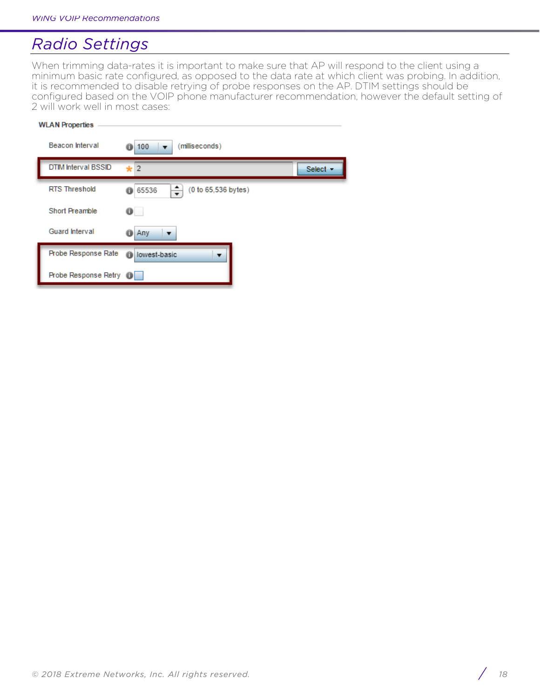# *Radio Settings*

When trimming data-rates it is important to make sure that AP will respond to the client using a minimum basic rate configured, as opposed to the data rate at which client was probing. In addition, it is recommended to disable retrying of probe responses on the AP. DTIM settings should be configured based on the VOIP phone manufacturer recommendation, however the default setting of 2 will work well in most cases:

| <b>WLAN Properties</b> |                            |                                     |          |  |  |  |  |  |
|------------------------|----------------------------|-------------------------------------|----------|--|--|--|--|--|
|                        | Beacon Interval            | (milliseconds)<br>100<br>Ô          |          |  |  |  |  |  |
|                        | <b>DTIM Interval BSSID</b> | $\star$ 2                           | Select - |  |  |  |  |  |
|                        | <b>RTS Threshold</b>       | ÷<br>(0 to 65,536 bytes)<br>6 65536 |          |  |  |  |  |  |
|                        | <b>Short Preamble</b>      | $\bullet$                           |          |  |  |  |  |  |
|                        | Guard Interval             | Any<br>Ô<br>▼                       |          |  |  |  |  |  |
|                        | Probe Response Rate        | lowest-basic<br>$\bullet$<br>▼      |          |  |  |  |  |  |
|                        | Probe Response Retry (i)   |                                     |          |  |  |  |  |  |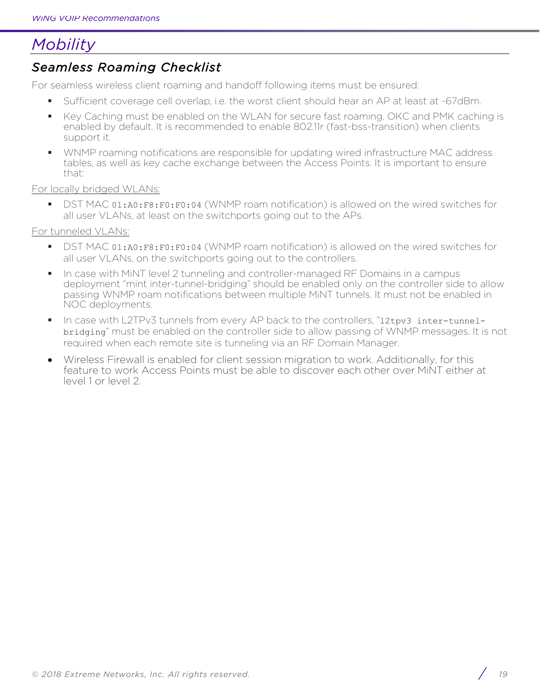# *Mobility*

# *Seamless Roaming Checklist*

For seamless wireless client roaming and handoff following items must be ensured:

- § Sufficient coverage cell overlap, i.e. the worst client should hear an AP at least at -67dBm.
- Key Caching must be enabled on the WLAN for secure fast roaming. OKC and PMK caching is enabled by default. It is recommended to enable 802.11r (fast-bss-transition) when clients support it.
- § WNMP roaming notifications are responsible for updating wired infrastructure MAC address tables, as well as key cache exchange between the Access Points. It is important to ensure that:

### For locally bridged WLANs:

■ DST MAC 01:A0:F8:F0:F0:04 (WNMP roam notification) is allowed on the wired switches for all user VLANs, at least on the switchports going out to the APs.

### For tunneled VLANs:

- DST MAC 01:A0:F8:F0:F0:04 (WNMP roam notification) is allowed on the wired switches for all user VLANs, on the switchports going out to the controllers.
- In case with MiNT level 2 tunneling and controller-managed RF Domains in a campus deployment "mint inter-tunnel-bridging" should be enabled only on the controller side to allow passing WNMP roam notifications between multiple MiNT tunnels. It must not be enabled in NOC deployments.
- In case with L2TPv3 tunnels from every AP back to the controllers, "12tpv3 inter-tunnelbridging" must be enabled on the controller side to allow passing of WNMP messages. It is not required when each remote site is tunneling via an RF Domain Manager.
- Wireless Firewall is enabled for client session migration to work. Additionally, for this feature to work Access Points must be able to discover each other over MiNT either at level 1 or level 2.